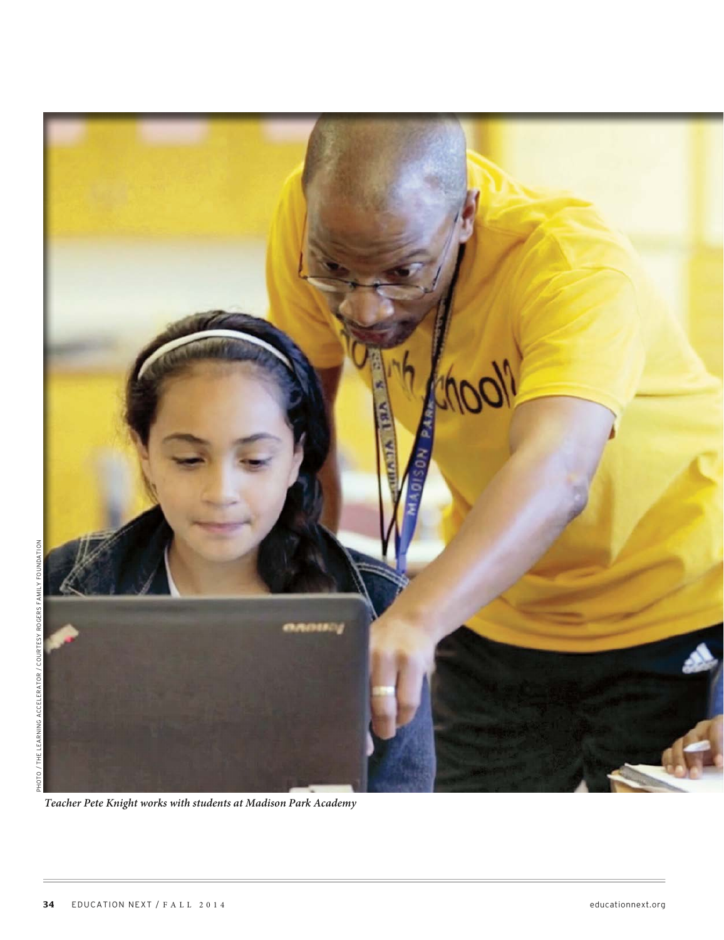

**Teacher Pete Knight works with students at Madison Park Academy**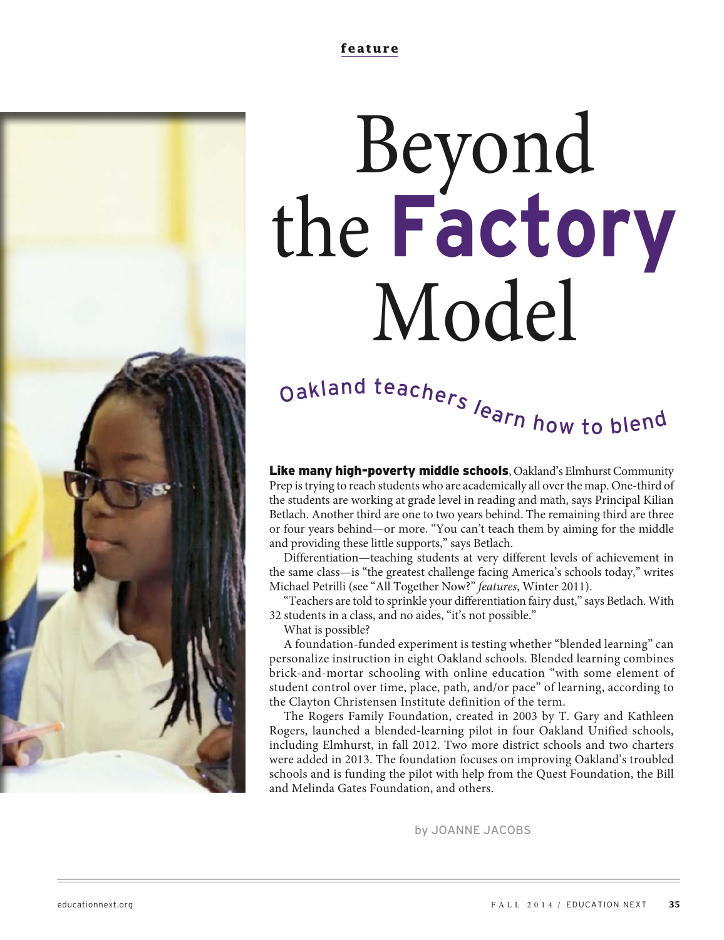# Beyond the **Factory** Model

# Oakland teachers learn how to blend

Like many high-poverty middle schools, Oakland's Elmhurst Community Prep is trying to reach students who are academically all over the map. One-third of the students are working at grade level in reading and math, says Principal Kilian Betlach. Another third are one to two years behind. The remaining third are three or four years behind—or more. "You can't teach them by aiming for the middle and providing these little supports," says Betlach.

Differentiation—teaching students at very different levels of achievement in the same class—is "the greatest challenge facing America's schools today," writes Michael Petrilli (see "All Together Now?" features, Winter 2011).

"Teachers are told to sprinkle your differentiation fairy dust," says Betlach. With 32 students in a class, and no aides, "it's not possible."

What is possible?

A foundation-funded experiment is testing whether "blended learning" can personalize instruction in eight Oakland schools. Blended learning combines brick-and-mortar schooling with online education "with some element of student control over time, place, path, and/or pace" of learning, according to the Clayton Christensen Institute definition of the term.

The Rogers Family Foundation, created in 2003 by T. Gary and Kathleen Rogers, launched a blended-learning pilot in four Oakland Unified schools, including Elmhurst, in fall 2012. Two more district schools and two charters were added in 2013. The foundation focuses on improving Oakland's troubled schools and is funding the pilot with help from the Quest Foundation, the Bill and Melinda Gates Foundation, and others.

by JOANNE JACOBS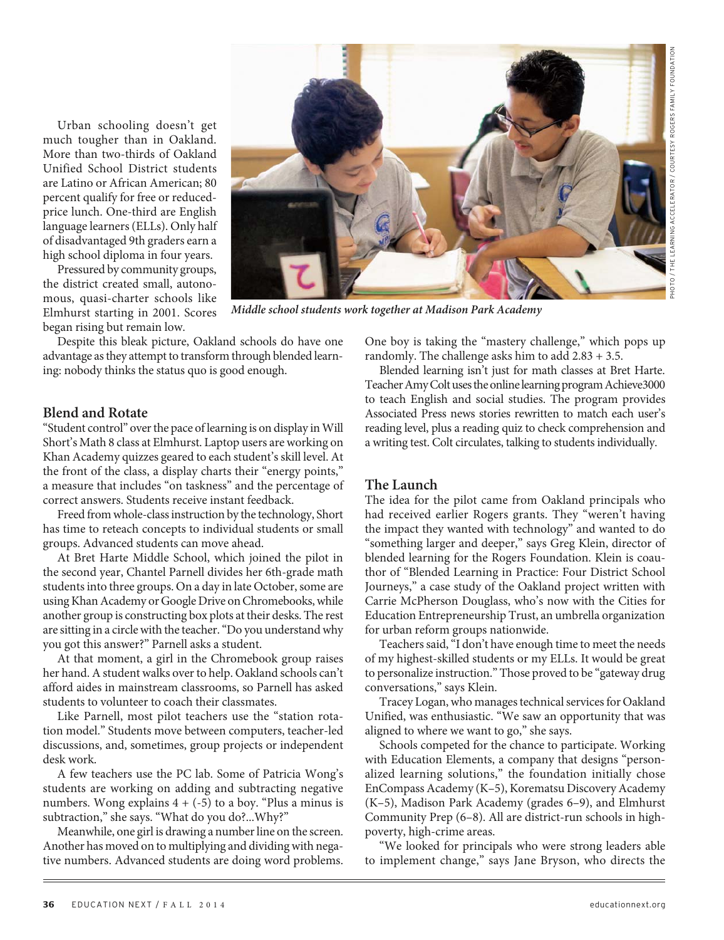Urban schooling doesn't get much tougher than in Oakland. More than two-thirds of Oakland Unified School District students are Latino or African American; 80 percent qualify for free or reducedprice lunch. One-third are English language learners (ELLs). Only half of disadvantaged 9th graders earn a high school diploma in four years.

Pressured by community groups, the district created small, autonomous, quasi-charter schools like Elmhurst starting in 2001. Scores began rising but remain low.

Despite this bleak picture, Oakland schools do have one advantage as they attempt to transform through blended learning: nobody thinks the status quo is good enough.

#### **Blend and Rotate**

"Student control" over the pace of learning is on display in Will Short's Math 8 class at Elmhurst. Laptop users are working on Khan Academy quizzes geared to each student's skill level. At the front of the class, a display charts their "energy points," a measure that includes "on taskness" and the percentage of correct answers. Students receive instant feedback.

Freed from whole-class instruction by the technology, Short has time to reteach concepts to individual students or small groups. Advanced students can move ahead.

At Bret Harte Middle School, which joined the pilot in the second year, Chantel Parnell divides her 6th-grade math students into three groups. On a day in late October, some are using Khan Academy or Google Drive on Chromebooks, while another group is constructing box plots at their desks. The rest are sitting in a circle with the teacher. "Do you understand why you got this answer?" Parnell asks a student.

At that moment, a girl in the Chromebook group raises her hand. A student walks over to help. Oakland schools can't afford aides in mainstream classrooms, so Parnell has asked students to volunteer to coach their classmates.

Like Parnell, most pilot teachers use the "station rotation model." Students move between computers, teacher-led discussions, and, sometimes, group projects or independent desk work.

A few teachers use the PC lab. Some of Patricia Wong's students are working on adding and subtracting negative numbers. Wong explains  $4 + (-5)$  to a boy. "Plus a minus is subtraction," she says. "What do you do?...Why?"

Meanwhile, one girl is drawing a number line on the screen. Another has moved on to multiplying and dividing with negative numbers. Advanced students are doing word problems.

One boy is taking the "mastery challenge," which pops up randomly. The challenge asks him to add 2.83 + 3.5.

Blended learning isn't just for math classes at Bret Harte. Teacher Amy Colt uses the online learning program Achieve3000 to teach English and social studies. The program provides Associated Press news stories rewritten to match each user's reading level, plus a reading quiz to check comprehension and a writing test. Colt circulates, talking to students individually.

#### **The Launch**

The idea for the pilot came from Oakland principals who had received earlier Rogers grants. They "weren't having the impact they wanted with technology" and wanted to do "something larger and deeper," says Greg Klein, director of blended learning for the Rogers Foundation. Klein is coauthor of "Blended Learning in Practice: Four District School Journeys," a case study of the Oakland project written with Carrie McPherson Douglass, who's now with the Cities for Education Entrepreneurship Trust, an umbrella organization for urban reform groups nationwide.

Teachers said, "I don't have enough time to meet the needs of my highest-skilled students or my ELLs. It would be great to personalize instruction." Those proved to be "gateway drug conversations," says Klein.

Tracey Logan, who manages technical services for Oakland Unified, was enthusiastic. "We saw an opportunity that was aligned to where we want to go," she says.

Schools competed for the chance to participate. Working with Education Elements, a company that designs "personalized learning solutions," the foundation initially chose EnCompass Academy (K–5), Korematsu Discovery Academy (K–5), Madison Park Academy (grades 6–9), and Elmhurst Community Prep (6–8). All are district-run schools in highpoverty, high-crime areas.

"We looked for principals who were strong leaders able to implement change," says Jane Bryson, who directs the

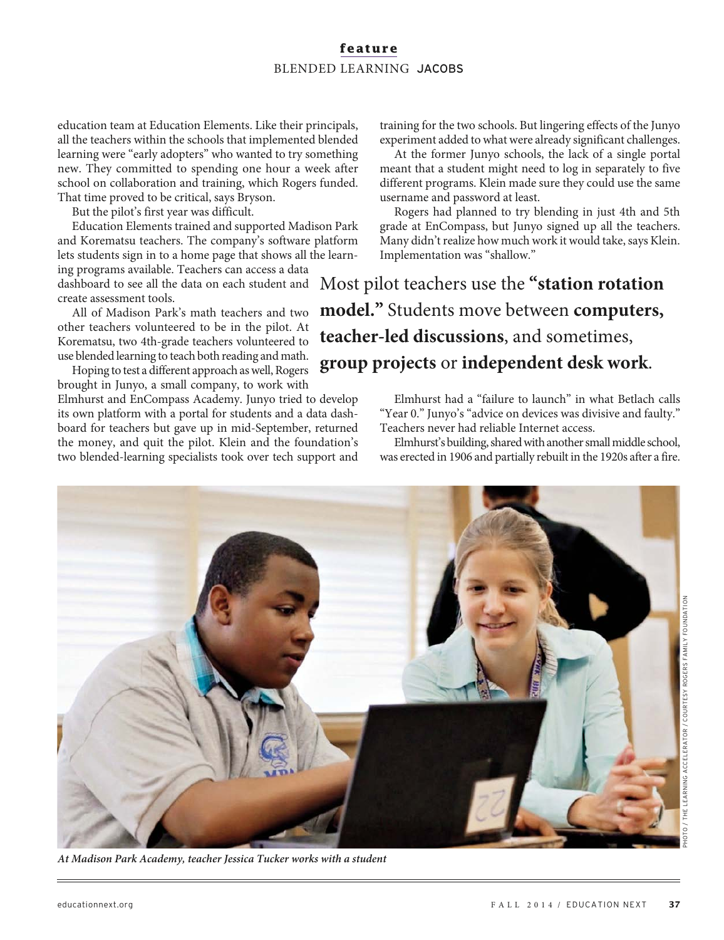# **feature** BLENDED LEARNING JACOBS

education team at Education Elements. Like their principals, all the teachers within the schools that implemented blended learning were "early adopters" who wanted to try something new. They committed to spending one hour a week after school on collaboration and training, which Rogers funded. That time proved to be critical, says Bryson.

But the pilot's first year was difficult.

Education Elements trained and supported Madison Park and Korematsu teachers. The company's software platform lets students sign in to a home page that shows all the learning programs available. Teachers can access a data

dashboard to see all the data on each student and create assessment tools.

All of Madison Park's math teachers and two other teachers volunteered to be in the pilot. At Korematsu, two 4th-grade teachers volunteered to use blended learning to teach both reading and math.

Hoping to test a different approach as well, Rogers brought in Junyo, a small company, to work with Elmhurst and EnCompass Academy. Junyo tried to develop its own platform with a portal for students and a data dashboard for teachers but gave up in mid-September, returned the money, and quit the pilot. Klein and the foundation's two blended-learning specialists took over tech support and training for the two schools. But lingering effects of the Junyo experiment added to what were already significant challenges.

At the former Junyo schools, the lack of a single portal meant that a student might need to log in separately to five different programs. Klein made sure they could use the same username and password at least.

Rogers had planned to try blending in just 4th and 5th grade at EnCompass, but Junyo signed up all the teachers. Many didn't realize how much work it would take, says Klein. Implementation was "shallow."

Most pilot teachers use the **"station rotation model."** Students move between **computers, teacher-led discussions**, and sometimes, **group projects** or **independent desk work**.

> Elmhurst had a "failure to launch" in what Betlach calls "Year 0." Junyo's "advice on devices was divisive and faulty." Teachers never had reliable Internet access.

> Elmhurst's building, shared with another small middle school, was erected in 1906 and partially rebuilt in the 1920s after a fire.



**At Madison Park Academy, teacher Jessica Tucker works with a student**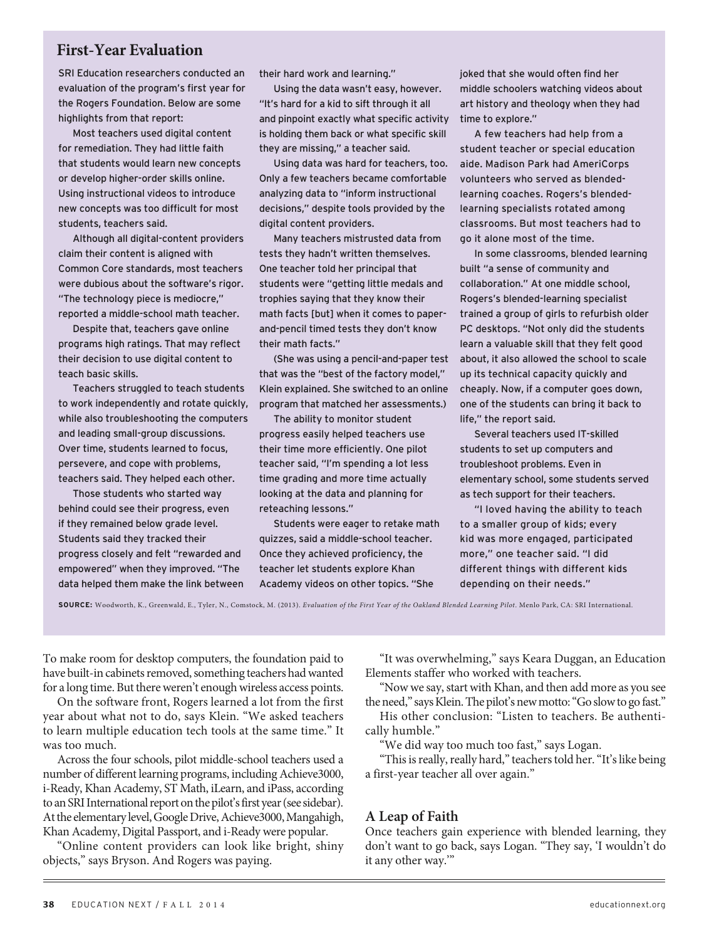# **First-Year Evaluation**

SRI Education researchers conducted an evaluation of the program's first year for the Rogers Foundation. Below are some highlights from that report:

Most teachers used digital content for remediation. They had little faith that students would learn new concepts or develop higher-order skills online. Using instructional videos to introduce new concepts was too difficult for most students, teachers said.

Although all digital-content providers claim their content is aligned with Common Core standards, most teachers were dubious about the software's rigor. "The technology piece is mediocre," reported a middle-school math teacher.

Despite that, teachers gave online programs high ratings. That may reflect their decision to use digital content to teach basic skills.

Teachers struggled to teach students to work independently and rotate quickly, while also troubleshooting the computers and leading small-group discussions. Over time, students learned to focus, persevere, and cope with problems, teachers said. They helped each other.

Those students who started way behind could see their progress, even if they remained below grade level. Students said they tracked their progress closely and felt "rewarded and empowered" when they improved. "The data helped them make the link between their hard work and learning."

Using the data wasn't easy, however. "It's hard for a kid to sift through it all and pinpoint exactly what specific activity is holding them back or what specific skill they are missing," a teacher said.

Using data was hard for teachers, too. Only a few teachers became comfortable analyzing data to "inform instructional decisions," despite tools provided by the digital content providers.

Many teachers mistrusted data from tests they hadn't written themselves. One teacher told her principal that students were "getting little medals and trophies saying that they know their math facts [but] when it comes to paperand-pencil timed tests they don't know their math facts."

(She was using a pencil-and-paper test that was the "best of the factory model," Klein explained. She switched to an online program that matched her assessments.)

The ability to monitor student progress easily helped teachers use their time more efficiently. One pilot teacher said, "I'm spending a lot less time grading and more time actually looking at the data and planning for reteaching lessons."

Students were eager to retake math quizzes, said a middle-school teacher. Once they achieved proficiency, the teacher let students explore Khan Academy videos on other topics. "She

joked that she would often find her middle schoolers watching videos about art history and theology when they had time to explore."

A few teachers had help from a student teacher or special education aide. Madison Park had AmeriCorps volunteers who served as blendedlearning coaches. Rogers's blendedlearning specialists rotated among classrooms. But most teachers had to go it alone most of the time.

In some classrooms, blended learning built "a sense of community and collaboration." At one middle school, Rogers's blended-learning specialist trained a group of girls to refurbish older PC desktops. "Not only did the students learn a valuable skill that they felt good about, it also allowed the school to scale up its technical capacity quickly and cheaply. Now, if a computer goes down, one of the students can bring it back to life," the report said.

Several teachers used IT-skilled students to set up computers and troubleshoot problems. Even in elementary school, some students served as tech support for their teachers.

"I loved having the ability to teach to a smaller group of kids; every kid was more engaged, participated more," one teacher said. "I did different things with different kids depending on their needs."

**SOURCE:** Woodworth, K., Greenwald, E., Tyler, N., Comstock, M. (2013). Evaluation of the First Year of the Oakland Blended Learning Pilot. Menlo Park, CA: SRI International.

To make room for desktop computers, the foundation paid to have built-in cabinets removed, something teachers had wanted for a long time. But there weren't enough wireless access points.

On the software front, Rogers learned a lot from the first year about what not to do, says Klein. "We asked teachers to learn multiple education tech tools at the same time." It was too much.

Across the four schools, pilot middle-school teachers used a number of different learning programs, including Achieve3000, i-Ready, Khan Academy, ST Math, iLearn, and iPass, according to an SRI International report on the pilot's first year (see sidebar). At the elementary level, Google Drive, Achieve3000, Mangahigh, Khan Academy, Digital Passport, and i-Ready were popular.

"Online content providers can look like bright, shiny objects," says Bryson. And Rogers was paying.

"It was overwhelming," says Keara Duggan, an Education Elements staffer who worked with teachers.

"Now we say, start with Khan, and then add more as you see the need," says Klein. The pilot's new motto: "Go slow to go fast."

His other conclusion: "Listen to teachers. Be authentically humble."

"We did way too much too fast," says Logan.

"This is really, really hard," teachers told her. "It's like being a first-year teacher all over again."

#### **A Leap of Faith**

Once teachers gain experience with blended learning, they don't want to go back, says Logan. "They say, 'I wouldn't do it any other way.'"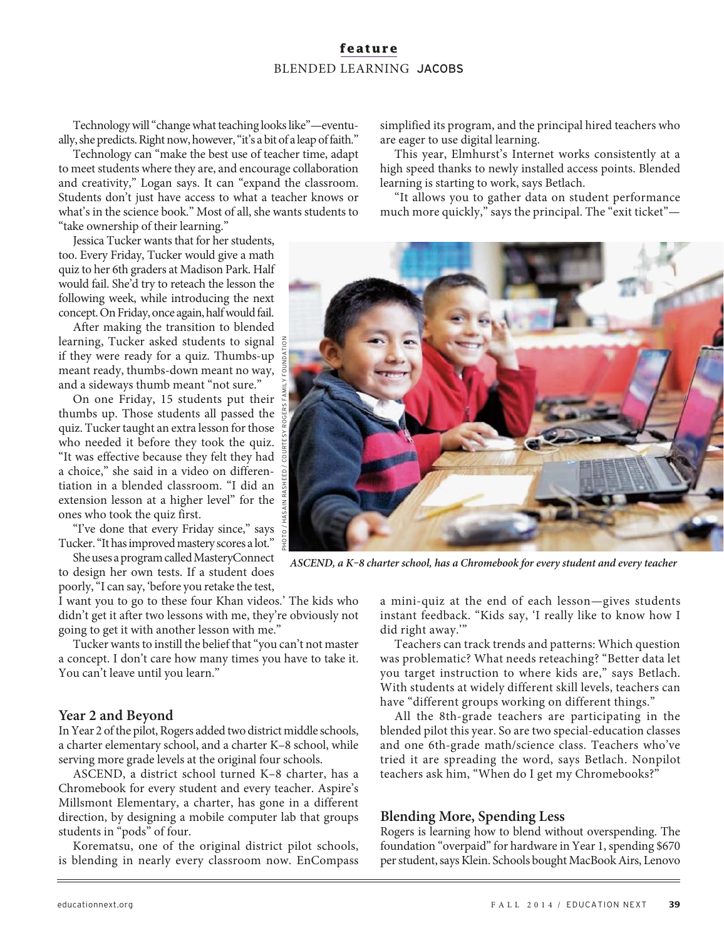## **feature** BLENDED LEARNING JACOBS

Technology will "change what teaching looks like"—eventually, she predicts. Right now, however, "it's a bit of a leap of faith."

Technology can "make the best use of teacher time, adapt to meet students where they are, and encourage collaboration and creativity," Logan says. It can "expand the classroom. Students don't just have access to what a teacher knows or what's in the science book." Most of all, she wants students to "take ownership of their learning."

Jessica Tucker wants that for her students, too. Every Friday, Tucker would give a math quiz to her 6th graders at Madison Park. Half would fail. She'd try to reteach the lesson the following week, while introducing the next concept. On Friday, once again, half would fail.

After making the transition to blended learning, Tucker asked students to signal if they were ready for a quiz. Thumbs-up meant ready, thumbs-down meant no way, and a sideways thumb meant "not sure."

On one Friday, 15 students put their thumbs up. Those students all passed the quiz. Tucker taught an extra lesson for those who needed it before they took the quiz. "It was effective because they felt they had a choice," she said in a video on differentiation in a blended classroom. "I did an extension lesson at a higher level" for the ones who took the quiz first.

"I've done that every Friday since," says Tucker. "It has improved mastery scores a lot."

She uses a program called MasteryConnect to design her own tests. If a student does poorly, "I can say, 'before you retake the test,

I want you to go to these four Khan videos.' The kids who didn't get it after two lessons with me, they're obviously not going to get it with another lesson with me."

Tucker wants to instill the belief that "you can't not master a concept. I don't care how many times you have to take it. You can't leave until you learn."

#### **Year 2 and Beyond**

In Year 2 of the pilot, Rogers added two district middle schools, a charter elementary school, and a charter K–8 school, while serving more grade levels at the original four schools.

ASCEND, a district school turned K–8 charter, has a Chromebook for every student and every teacher. Aspire's Millsmont Elementary, a charter, has gone in a different direction, by designing a mobile computer lab that groups students in "pods" of four.

Korematsu, one of the original district pilot schools, is blending in nearly every classroom now. EnCompass simplified its program, and the principal hired teachers who are eager to use digital learning.

This year, Elmhurst's Internet works consistently at a high speed thanks to newly installed access points. Blended learning is starting to work, says Betlach.

"It allows you to gather data on student performance much more quickly," says the principal. The "exit ticket"—

a mini-quiz at the end of each lesson—gives students instant feedback. "Kids say, 'I really like to know how I

All the 8th-grade teachers are participating in the and one 6th-grade math/science class. Teachers who've tried it are spreading the word, says Betlach. Nonpilot teachers ask him, "When do I get my Chromebooks?"

#### **Blending More, Spending Less**

Rogers is learning how to blend without overspending. The foundation "overpaid" for hardware in Year 1, spending \$670 per student, says Klein. Schools bought MacBook Airs, Lenovo

did right away.'" Teachers can track trends and patterns: Which question was problematic? What needs reteaching? "Better data let you target instruction to where kids are," says Betlach. With students at widely different skill levels, teachers can have "different groups working on different things." blended pilot this year. So are two special-education classes

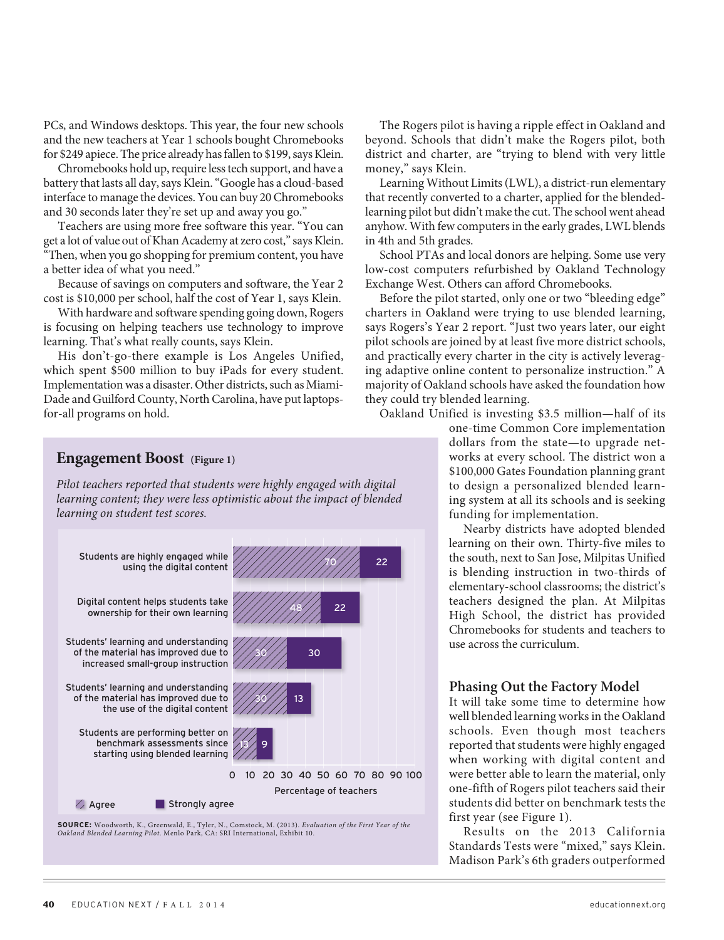PCs, and Windows desktops. This year, the four new schools and the new teachers at Year 1 schools bought Chromebooks for \$249 apiece. The price already has fallen to \$199, says Klein.

Chromebooks hold up, require less tech support, and have a battery that lasts all day, says Klein. "Google has a cloud-based interface to manage the devices. You can buy 20 Chromebooks and 30 seconds later they're set up and away you go."

Teachers are using more free software this year. "You can get a lot of value out of Khan Academy at zero cost," says Klein. "Then, when you go shopping for premium content, you have a better idea of what you need."

Because of savings on computers and software, the Year 2 cost is \$10,000 per school, half the cost of Year 1, says Klein.

With hardware and software spending going down, Rogers is focusing on helping teachers use technology to improve learning. That's what really counts, says Klein.

His don't-go-there example is Los Angeles Unified, which spent \$500 million to buy iPads for every student. Implementation was a disaster. Other districts, such as Miami-Dade and Guilford County, North Carolina, have put laptopsfor-all programs on hold.

The Rogers pilot is having a ripple effect in Oakland and beyond. Schools that didn't make the Rogers pilot, both district and charter, are "trying to blend with very little money," says Klein.

Learning Without Limits (LWL), a district-run elementary that recently converted to a charter, applied for the blendedlearning pilot but didn't make the cut. The school went ahead anyhow. With few computers in the early grades, LWL blends in 4th and 5th grades.

School PTAs and local donors are helping. Some use very low-cost computers refurbished by Oakland Technology Exchange West. Others can afford Chromebooks.

Before the pilot started, only one or two "bleeding edge" charters in Oakland were trying to use blended learning, says Rogers's Year 2 report. "Just two years later, our eight pilot schools are joined by at least five more district schools, and practically every charter in the city is actively leveraging adaptive online content to personalize instruction." A majority of Oakland schools have asked the foundation how they could try blended learning.

Oakland Unified is investing \$3.5 million—half of its

one-time Common Core implementation dollars from the state—to upgrade networks at every school. The district won a \$100,000 Gates Foundation planning grant to design a personalized blended learning system at all its schools and is seeking funding for implementation.

Nearby districts have adopted blended learning on their own. Thirty-five miles to the south, next to San Jose, Milpitas Unified is blending instruction in two-thirds of elementary-school classrooms; the district's teachers designed the plan. At Milpitas High School, the district has provided Chromebooks for students and teachers to use across the curriculum.

#### **Phasing Out the Factory Model**

It will take some time to determine how well blended learning works in the Oakland schools. Even though most teachers reported that students were highly engaged when working with digital content and were better able to learn the material, only one-fifth of Rogers pilot teachers said their students did better on benchmark tests the first year (see Figure 1).

Results on the 2013 California Standards Tests were "mixed," says Klein. Madison Park's 6th graders outperformed

#### **Engagement Boost (Figure 1)**

Pilot teachers reported that students were highly engaged with digital learning content; they were less optimistic about the impact of blended learning on student test scores.